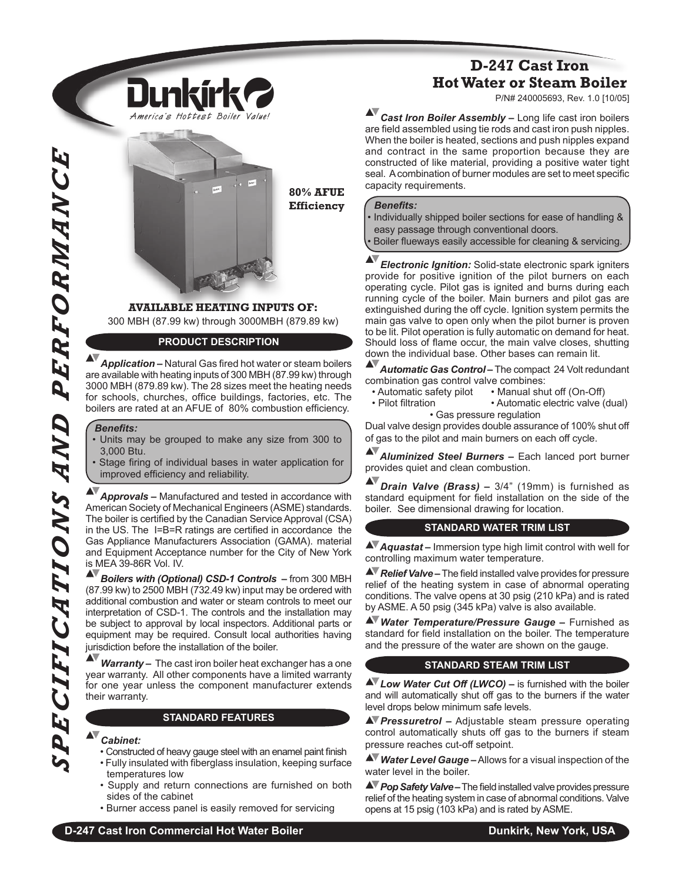

**80% AFUE Efficiency**

# **AVAILABLE HEATING INPUTS OF:**

300 MBH (87.99 kw) through 3000MBH (879.89 kw)

### **PRODUCT DESCRIPTION**

**Application –** Natural Gas fired hot water or steam boilers are available with heating inputs of 300 MBH (87.99 kw) through 3000 MBH (879.89 kw). The 28 sizes meet the heating needs for schools, churches, office buildings, factories, etc. The boilers are rated at an AFUE of 80% combustion efficiency.

#### **Benefits:**

- Units may be grouped to make any size from 300 to 3,000 Btu.
- Stage firing of individual bases in water application for improved efficiency and reliability.

*Approvals –* Manufactured and tested in accordance with American Society of Mechanical Engineers (ASME) standards. The boiler is certified by the Canadian Service Approval (CSA) in the US. The I=B=R ratings are certified in accordance the Gas Appliance Manufacturers Association (GAMA). material and Equipment Acceptance number for the City of New York is MEA 39-86R Vol. IV.

*Boilers with (Optional) CSD-1 Controls –* from 300 MBH (87.99 kw) to 2500 MBH (732.49 kw) input may be ordered with additional combustion and water or steam controls to meet our interpretation of CSD-1. The controls and the installation may be subject to approval by local inspectors. Additional parts or equipment may be required. Consult local authorities having jurisdiction before the installation of the boiler.

*Warranty –* The cast iron boiler heat exchanger has a one year warranty. All other components have a limited warranty for one year unless the component manufacturer extends their warranty.

#### **STANDARD FEATURES**

#### *Cabinet:*

- Constructed of heavy gauge steel with an enamel paint finish
- Fully insulated with fiberglass insulation, keeping surface temperatures low
- Supply and return connections are furnished on both sides of the cabinet
- Burner access panel is easily removed for servicing

# **D-247 Cast Iron Hot Water or Steam Boiler**

P/N# 240005693, Rev. 1.0 [10/05]

AV *Cast Iron Boiler Assembly –* Long life cast iron boilers are field assembled using tie rods and cast iron push nipples. When the boiler is heated, sections and push nipples expand and contract in the same proportion because they are constructed of like material, providing a positive water tight seal. A combination of burner modules are set to meet specific capacity requirements.

#### **Benefits:**

• Individually shipped boiler sections for ease of handling & easy passage through conventional doors. Boiler flueways easily accessible for cleaning & servicing

ACTES<br>
1990 - A Application in the same proposition is contained in the same proposition is contained in the same proposition is contained in the same proposition in the same proposition in the same proposition in the s *Electronic Ignition:* Solid-state electronic spark igniters provide for positive ignition of the pilot burners on each operating cycle. Pilot gas is ignited and burns during each running cycle of the boiler. Main burners and pilot gas are extinguished during the off cycle. Ignition system permits the main gas valve to open only when the pilot burner is proven to be lit. Pilot operation is fully automatic on demand for heat. Should loss of flame occur, the main valve closes, shutting down the individual base. Other bases can remain lit.

*Automatic Gas Control –* The compact 24 Volt redundant

- combination gas control valve combines:<br>
 Automatic safety pilot Manual shu
- Automatic safety pilot Manual shut off (On-Off)<br>• Pilot filtration Automatic electric valve ( • Automatic electric valve (dual) • Gas pressure regulation

Dual valve design provides double assurance of 100% shut off of gas to the pilot and main burners on each off cycle.

*Aluminized Steel Burners –* Each lanced port burner provides quiet and clean combustion.

*Drain Valve (Brass) –* 3/4" (19mm) is furnished as standard equipment for field installation on the side of the boiler. See dimensional drawing for location.

#### **STANDARD WATER TRIM LIST**

*Aquastat –* Immersion type high limit control with well for controlling maximum water temperature.

**A** Relief Valve – The field installed valve provides for pressure relief of the heating system in case of abnormal operating conditions. The valve opens at 30 psig (210 kPa) and is rated by ASME. A 50 psig (345 kPa) valve is also available.

*Water Temperature/Pressure Gauge –* Furnished as standard for field installation on the boiler. The temperature and the pressure of the water are shown on the gauge. 

#### **STANDARD STEAM TRIM LIST**

**AV** Low Water Cut Off (LWCO) – is furnished with the boiler and will automatically shut off gas to the burners if the water level drops below minimum safe levels.

*Pressuretrol –* Adjustable steam pressure operating control automatically shuts off gas to the burners if steam pressure reaches cut-off setpoint.

*Water Level Gauge –*Allows for a visual inspection of the water level in the boiler.

**Pop Safety Valve** – The field installed valve provides pressure relief of the heating system in case of abnormal conditions. Valve opens at 15 psig (103 kPa) and is rated by ASME.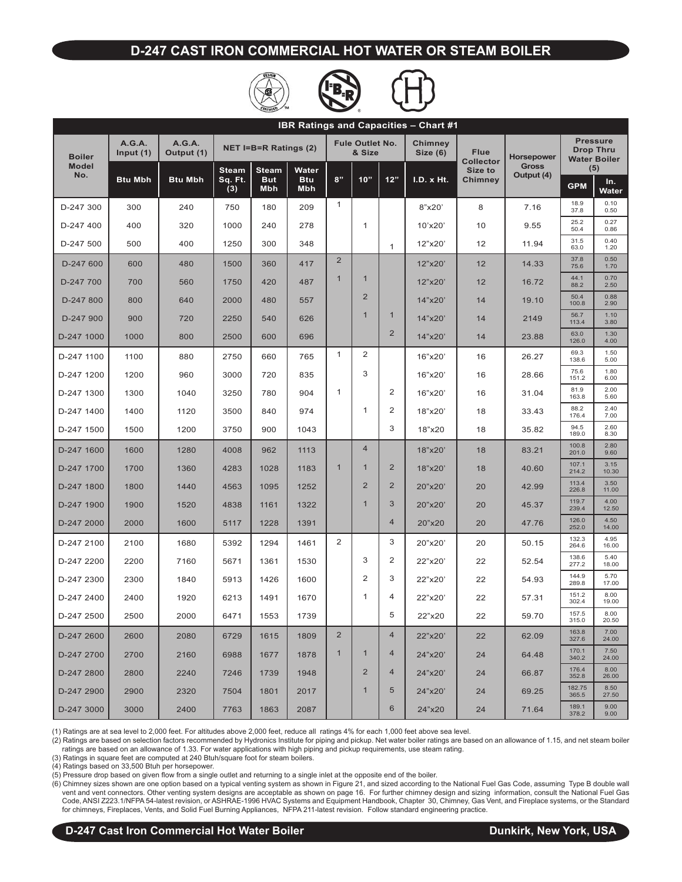### **D-247 CAST IRON COMMERCIAL HOT WATER OR STEAM BOILER**





| <b>IBR Ratings and Capacities - Chart #1</b> |                              |                             |                         |                            |                     |                                  |                |                     |                                 |                                   |                                                            |                 |               |
|----------------------------------------------|------------------------------|-----------------------------|-------------------------|----------------------------|---------------------|----------------------------------|----------------|---------------------|---------------------------------|-----------------------------------|------------------------------------------------------------|-----------------|---------------|
| <b>Boiler</b>                                | <b>A.G.A.</b><br>Input $(1)$ | <b>A.G.A.</b><br>Output (1) |                         | NET I=B=R Ratings (2)      |                     | <b>Fule Outlet No.</b><br>& Size |                | Chimney<br>Size (6) | <b>Flue</b><br><b>Collector</b> | <b>Horsepower</b><br><b>Gross</b> | <b>Pressure</b><br><b>Drop Thru</b><br><b>Water Boiler</b> |                 |               |
| <b>Model</b><br>No.                          | <b>Btu Mbh</b>               | <b>Btu Mbh</b>              | <b>Steam</b><br>Sq. Ft. | <b>Steam</b><br><b>But</b> | Water<br><b>Btu</b> | 8"                               | 10"            | 12"                 | I.D. x Ht.                      | Size to<br><b>Chimney</b>         | Output (4)                                                 | (5)<br>In.      |               |
|                                              |                              |                             | (3)                     | <b>Mbh</b>                 | Mbh                 |                                  |                |                     |                                 |                                   |                                                            | <b>GPM</b>      | Water         |
| D-247 300                                    | 300                          | 240                         | 750                     | 180                        | 209                 | $\mathbf{1}$                     |                |                     | 8"x20"                          | 8                                 | 7.16                                                       | 18.9<br>37.8    | 0.10<br>0.50  |
| D-247 400                                    | 400                          | 320                         | 1000                    | 240                        | 278                 |                                  | 1              |                     | 10'x20'                         | 10                                | 9.55                                                       | 25.2<br>50.4    | 0.27<br>0.86  |
| D-247 500                                    | 500                          | 400                         | 1250                    | 300                        | 348                 |                                  |                | $\mathbf{1}$        | 12"x20'                         | 12                                | 11.94                                                      | 31.5<br>63.0    | 0.40<br>1.20  |
| D-247 600                                    | 600                          | 480                         | 1500                    | 360                        | 417                 | 2                                |                |                     | 12"x20"                         | 12                                | 14.33                                                      | 37.8<br>75.6    | 0.50<br>1.70  |
| D-247 700                                    | 700                          | 560                         | 1750                    | 420                        | 487                 | $\mathbf{1}$                     | $\mathbf{1}$   |                     | 12"x20"                         | 12                                | 16.72                                                      | 44.1<br>88.2    | 0.70<br>2.50  |
| D-247 800                                    | 800                          | 640                         | 2000                    | 480                        | 557                 |                                  | $\overline{2}$ |                     | 14"x20"                         | 14                                | 19.10                                                      | 50.4<br>100.8   | 0.88<br>2.90  |
| D-247 900                                    | 900                          | 720                         | 2250                    | 540                        | 626                 |                                  | $\mathbf{1}$   | $\mathbf{1}$        | 14"x20"                         | 14                                | 2149                                                       | 56.7<br>113.4   | 1.10<br>3.80  |
| D-247 1000                                   | 1000                         | 800                         | 2500                    | 600                        | 696                 |                                  |                | 2                   | 14"x20"                         | 14                                | 23.88                                                      | 63.0<br>126.0   | 1.30<br>4.00  |
| D-247 1100                                   | 1100                         | 880                         | 2750                    | 660                        | 765                 | $\mathbf{1}$                     | 2              |                     | 16"x20"                         | 16                                | 26.27                                                      | 69.3<br>138.6   | 1.50<br>5.00  |
| D-247 1200                                   | 1200                         | 960                         | 3000                    | 720                        | 835                 |                                  | 3              |                     | 16"x20"                         | 16                                | 28.66                                                      | 75.6<br>151.2   | 1.80<br>6.00  |
| D-247 1300                                   | 1300                         | 1040                        | 3250                    | 780                        | 904                 | $\mathbf{1}$                     |                | 2                   | 16"x20"                         | 16                                | 31.04                                                      | 81.9<br>163.8   | 2.00<br>5.60  |
| D-247 1400                                   | 1400                         | 1120                        | 3500                    | 840                        | 974                 |                                  | 1              | 2                   | 18"x20"                         | 18                                | 33.43                                                      | 88.2<br>176.4   | 2.40<br>7.00  |
| D-247 1500                                   | 1500                         | 1200                        | 3750                    | 900                        | 1043                |                                  |                | 3                   | 18"x20                          | 18                                | 35.82                                                      | 94.5<br>189.0   | 2.60<br>8.30  |
| D-247 1600                                   | 1600                         | 1280                        | 4008                    | 962                        | 1113                |                                  | $\overline{4}$ |                     | 18"x20"                         | 18                                | 83.21                                                      | 100.8<br>201.0  | 2.80<br>9.60  |
| D-247 1700                                   | 1700                         | 1360                        | 4283                    | 1028                       | 1183                | $\mathbf{1}$                     | $\mathbf{1}$   | $\overline{2}$      | 18"x20"                         | 18                                | 40.60                                                      | 107.1<br>214.2  | 3.15<br>10.30 |
| D-247 1800                                   | 1800                         | 1440                        | 4563                    | 1095                       | 1252                |                                  | $\overline{2}$ | $\overline{2}$      | 20"x20"                         | 20                                | 42.99                                                      | 113.4<br>226.8  | 3.50<br>11.00 |
| D-247 1900                                   | 1900                         | 1520                        | 4838                    | 1161                       | 1322                |                                  | $\mathbf{1}$   | 3                   | 20"x20"                         | 20                                | 45.37                                                      | 119.7<br>239.4  | 4.00<br>12.50 |
| D-247 2000                                   | 2000                         | 1600                        | 5117                    | 1228                       | 1391                |                                  |                | $\overline{4}$      | 20"x20                          | 20                                | 47.76                                                      | 126.0<br>252.0  | 4.50<br>14.00 |
| D-247 2100                                   | 2100                         | 1680                        | 5392                    | 1294                       | 1461                | 2                                |                | 3                   | 20"x20"                         | 20                                | 50.15                                                      | 132.3<br>264.6  | 4.95<br>16.00 |
| D-247 2200                                   | 2200                         | 7160                        | 5671                    | 1361                       | 1530                |                                  | 3              | 2                   | 22"x20"                         | 22                                | 52.54                                                      | 138.6<br>277.2  | 5.40<br>18.00 |
| D-247 2300                                   | 2300                         | 1840                        | 5913                    | 1426                       | 1600                |                                  | 2              | 3                   | 22"x20"                         | 22                                | 54.93                                                      | 144.9<br>289.8  | 5.70<br>17.00 |
| D-247 2400                                   | 2400                         | 1920                        | 6213                    | 1491                       | 1670                |                                  | 1              | 4                   | 22"x20'                         | 22                                | 57.31                                                      | 151.2<br>302.4  | 8.00<br>19.00 |
| D-247 2500                                   | 2500                         | 2000                        | 6471                    | 1553                       | 1739                |                                  |                | 5                   | 22"x20                          | 22                                | 59.70                                                      | 157.5<br>315.0  | 8.00<br>20.50 |
| D-247 2600                                   | 2600                         | 2080                        | 6729                    | 1615                       | 1809                | $\overline{2}$                   |                | $\overline{4}$      | 22"x20"                         | 22                                | 62.09                                                      | 163.8<br>327.6  | 7.00<br>24.00 |
| D-247 2700                                   | 2700                         | 2160                        | 6988                    | 1677                       | 1878                | $\mathbf{1}$                     | $\mathbf{1}$   | 4                   | 24"x20"                         | 24                                | 64.48                                                      | 170.1<br>340.2  | 7.50<br>24.00 |
| D-247 2800                                   | 2800                         | 2240                        | 7246                    | 1739                       | 1948                |                                  | $\overline{2}$ | 4                   | 24"x20"                         | 24                                | 66.87                                                      | 176.4<br>352.8  | 8.00<br>26.00 |
| D-247 2900                                   | 2900                         | 2320                        | 7504                    | 1801                       | 2017                |                                  | $\mathbf{1}$   | 5                   | 24"x20"                         | 24                                | 69.25                                                      | 182.75<br>365.5 | 8.50<br>27.50 |
| D-247 3000                                   | 3000                         | 2400                        | 7763                    | 1863                       | 2087                |                                  |                | 6                   | 24"x20                          | 24                                | 71.64                                                      | 189.1<br>378.2  | 9.00<br>9.00  |

(1) Ratings are at sea level to 2,000 feet. For altitudes above 2,000 feet, reduce all ratings 4% for each 1,000 feet above sea level.

(2) Ratings are based on selection factors recommended by Hydronics Institute for piping and pickup. Net water boiler ratings are based on an allowance of 1.15, and net steam boiler ratings are based on an allowance of 1.33. For water applications with high piping and pickup requirements, use steam rating.

(3) Ratings in square feet are computed at 240 Btuh/square foot for steam boilers.

(4) Ratings based on 33,500 Btuh per horsepower.

(5) Pressure drop based on given flow from a single outlet and returning to a single inlet at the opposite end of the boiler.

(6) Chimney sizes shown are one option based on a typical venting system as shown in Figure 21, and sized according to the National Fuel Gas Code, assuming Type B double wall vent and vent connectors. Other venting system designs are acceptable as shown on page 16. For further chimney design and sizing information, consult the National Fuel Gas<br>Code, ANSI Z223.1/NFPA 54-latest revision, or ASH for chimneys, Fireplaces, Vents, and Solid Fuel Burning Appliances, NFPA 211-latest revision. Follow standard engineering practice.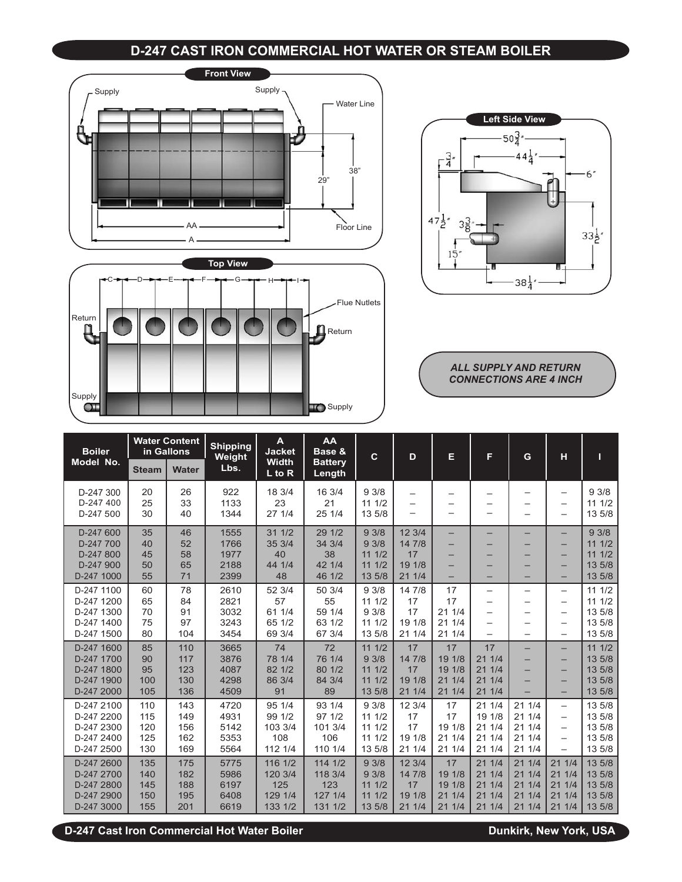## **D-247 CAST IRON COMMERCIAL HOT WATER OR STEAM BOILER**







*ALL SUPPLY AND RETURN CONNECTIONS ARE 4 INCH*

| <b>Boiler</b>                                                      |                                 | <b>Water Content</b><br>in Gallons | <b>Shipping</b><br>Weight            | A<br><b>Jacket</b>                               | AA<br>Base &                                    | $\mathbf{C}$                              | D                                          | Е                                            | F                                            | G                                           | н                                                                                     | П                                              |
|--------------------------------------------------------------------|---------------------------------|------------------------------------|--------------------------------------|--------------------------------------------------|-------------------------------------------------|-------------------------------------------|--------------------------------------------|----------------------------------------------|----------------------------------------------|---------------------------------------------|---------------------------------------------------------------------------------------|------------------------------------------------|
| Model No.                                                          | <b>Steam</b>                    | <b>Water</b>                       | Lbs.                                 | <b>Width</b><br>$\overline{L}$ to $\overline{R}$ | <b>Battery</b><br>Length                        |                                           |                                            |                                              |                                              |                                             |                                                                                       |                                                |
| D-247 300<br>D-247 400<br>D-247 500                                | 20<br>25<br>30                  | 26<br>33<br>40                     | 922<br>1133<br>1344                  | 18 3/4<br>23<br>27 1/4                           | 16 3/4<br>21<br>25 1/4                          | 93/8<br>111/2<br>13 5/8                   | $\overline{\phantom{0}}$<br>—              |                                              | -<br>—                                       |                                             | $\overline{\phantom{m}}$<br>$\qquad \qquad -$<br>$\qquad \qquad -$                    | 93/8<br>111/2<br>13 5/8                        |
| D-247 600<br>D-247 700<br>D-247 800<br>D-247 900<br>D-247 1000     | 35<br>40<br>45<br>50<br>55      | 46<br>52<br>58<br>65<br>71         | 1555<br>1766<br>1977<br>2188<br>2399 | 311/2<br>35 3/4<br>40<br>44 1/4<br>48            | 29 1/2<br>34 3/4<br>38<br>42 1/4<br>46 1/2      | 93/8<br>93/8<br>111/2<br>111/2<br>13 5/8  | 12 3/4<br>14 7/8<br>17<br>19 1/8<br>21 1/4 | -<br>—<br>—<br>-<br>$\overline{\phantom{0}}$ | —<br>–<br>-                                  |                                             | $\qquad \qquad -$<br>$\overline{\phantom{0}}$<br>$\qquad \qquad$<br>-<br>-            | 93/8<br>111/2<br>111/2<br>13 5/8<br>13 5/8     |
| D-247 1100<br>D-247 1200<br>D-247 1300<br>D-247 1400<br>D-247 1500 | 60<br>65<br>70<br>75<br>80      | 78<br>84<br>91<br>97<br>104        | 2610<br>2821<br>3032<br>3243<br>3454 | 52 3/4<br>57<br>61 1/4<br>65 1/2<br>69 3/4       | 50 3/4<br>55<br>59 1/4<br>63 1/2<br>67 3/4      | 93/8<br>111/2<br>93/8<br>111/2<br>13 5/8  | 14 7/8<br>17<br>17<br>19 1/8<br>21 1/4     | 17<br>17<br>211/4<br>211/4<br>21 1/4         | —<br>—<br>$\overline{\phantom{0}}$<br>—      | -<br>$\overline{\phantom{0}}$               | $\qquad \qquad -$<br>$\overline{\phantom{m}}$<br>$\qquad \qquad -$                    | 111/2<br>111/2<br>13 5/8<br>13 5/8<br>13 5/8   |
| D-247 1600<br>D-247 1700<br>D-247 1800<br>D-247 1900<br>D-247 2000 | 85<br>90<br>95<br>100<br>105    | 110<br>117<br>123<br>130<br>136    | 3665<br>3876<br>4087<br>4298<br>4509 | 74<br>78 1/4<br>82 1/2<br>86 3/4<br>91           | 72<br>76 1/4<br>80 1/2<br>84 3/4<br>89          | 111/2<br>93/8<br>111/2<br>111/2<br>13 5/8 | 17<br>14 7/8<br>17<br>19 1/8<br>21 1/4     | 17<br>19 1/8<br>19 1/8<br>211/4<br>211/4     | 17<br>211/4<br>211/4<br>211/4<br>211/4       |                                             | -<br>$\overline{\phantom{0}}$<br>-<br>$\qquad \qquad -$                               | 111/2<br>13 5/8<br>13 5/8<br>13 5/8<br>13 5/8  |
| D-247 2100<br>D-247 2200<br>D-247 2300<br>D-247 2400<br>D-247 2500 | 110<br>115<br>120<br>125<br>130 | 143<br>149<br>156<br>162<br>169    | 4720<br>4931<br>5142<br>5353<br>5564 | 95 1/4<br>99 1/2<br>103 3/4<br>108<br>112 1/4    | 93 1/4<br>97 1/2<br>101 3/4<br>106<br>110 1/4   | 93/8<br>111/2<br>111/2<br>111/2<br>13 5/8 | 12 3/4<br>17<br>17<br>19 1/8<br>21 1/4     | 17<br>17<br>19 1/8<br>211/4<br>21 1/4        | 211/4<br>19 1/8<br>21 1/4<br>211/4<br>21 1/4 | 211/4<br>211/4<br>211/4<br>21 1/4<br>21 1/4 | $\overline{\phantom{0}}$<br>-<br>$\overline{\phantom{m}}$<br>$\overline{\phantom{0}}$ | 13 5/8<br>13 5/8<br>13 5/8<br>13 5/8<br>13 5/8 |
| D-247 2600<br>D-247 2700<br>D-247 2800<br>D-247 2900<br>D-247 3000 | 135<br>140<br>145<br>150<br>155 | 175<br>182<br>188<br>195<br>201    | 5775<br>5986<br>6197<br>6408<br>6619 | 116 1/2<br>120 3/4<br>125<br>129 1/4<br>133 1/2  | 114 1/2<br>118 3/4<br>123<br>127 1/4<br>131 1/2 | 93/8<br>93/8<br>111/2<br>111/2<br>13 5/8  | 12 3/4<br>14 7/8<br>17<br>19 1/8<br>21 1/4 | 17<br>19 1/8<br>19 1/8<br>211/4<br>21 1/4    | 211/4<br>211/4<br>21 1/4<br>211/4<br>21 1/4  | 21 1/4<br>211/4<br>211/4<br>211/4<br>21 1/4 | 211/4<br>211/4<br>211/4<br>211/4<br>21 1/4                                            | 13 5/8<br>13 5/8<br>13 5/8<br>13 5/8<br>13 5/8 |

**D-247 Cast Iron Commercial Hot Water Boiler Dunkirk, New York, USA**